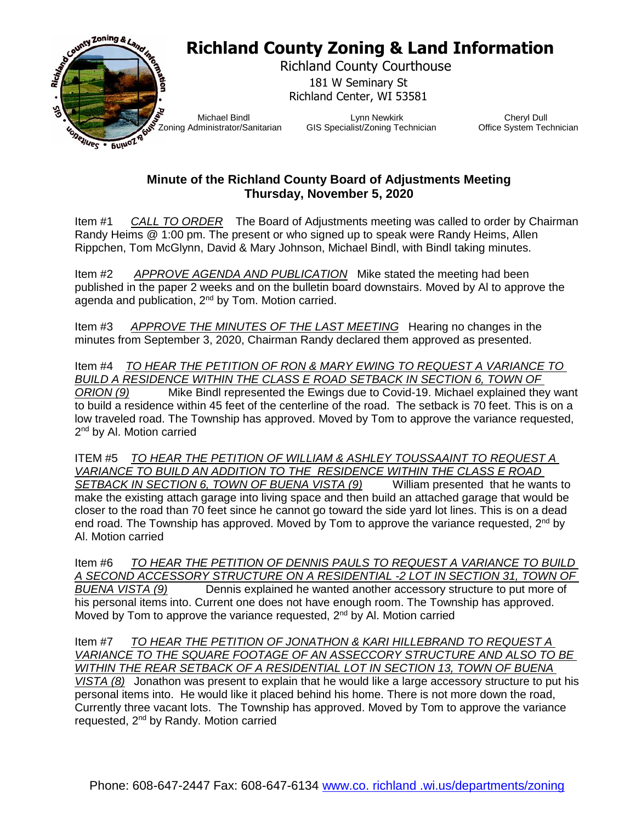

## **Minute of the Richland County Board of Adjustments Meeting Thursday, November 5, 2020**

Item #1 *CALL TO ORDER* The Board of Adjustments meeting was called to order by Chairman Randy Heims @ 1:00 pm. The present or who signed up to speak were Randy Heims, Allen Rippchen, Tom McGlynn, David & Mary Johnson, Michael Bindl, with Bindl taking minutes.

Item #2 *APPROVE AGENDA AND PUBLICATION* Mike stated the meeting had been published in the paper 2 weeks and on the bulletin board downstairs. Moved by Al to approve the agenda and publication, 2nd by Tom. Motion carried.

Item #3 *APPROVE THE MINUTES OF THE LAST MEETING* Hearing no changes in the minutes from September 3, 2020, Chairman Randy declared them approved as presented.

Item #4 *TO HEAR THE PETITION OF RON & MARY EWING TO REQUEST A VARIANCE TO BUILD A RESIDENCE WITHIN THE CLASS E ROAD SETBACK IN SECTION 6, TOWN OF ORION (9)* Mike Bindl represented the Ewings due to Covid-19. Michael explained they want to build a residence within 45 feet of the centerline of the road. The setback is 70 feet. This is on a low traveled road. The Township has approved. Moved by Tom to approve the variance requested, 2<sup>nd</sup> by Al. Motion carried

ITEM #5 *TO HEAR THE PETITION OF WILLIAM & ASHLEY TOUSSAAINT TO REQUEST A VARIANCE TO BUILD AN ADDITION TO THE RESIDENCE WITHIN THE CLASS E ROAD SETBACK IN SECTION 6, TOWN OF BUENA VISTA (9)* William presented that he wants to make the existing attach garage into living space and then build an attached garage that would be closer to the road than 70 feet since he cannot go toward the side yard lot lines. This is on a dead end road. The Township has approved. Moved by Tom to approve the variance requested,  $2^{nd}$  by Al. Motion carried

Item #6 *TO HEAR THE PETITION OF DENNIS PAULS TO REQUEST A VARIANCE TO BUILD A SECOND ACCESSORY STRUCTURE ON A RESIDENTIAL -2 LOT IN SECTION 31, TOWN OF*  **Dennis explained he wanted another accessory structure to put more of** his personal items into. Current one does not have enough room. The Township has approved. Moved by Tom to approve the variance requested, 2<sup>nd</sup> by Al. Motion carried

Item #7 *TO HEAR THE PETITION OF JONATHON & KARI HILLEBRAND TO REQUEST A VARIANCE TO THE SQUARE FOOTAGE OF AN ASSECCORY STRUCTURE AND ALSO TO BE WITHIN THE REAR SETBACK OF A RESIDENTIAL LOT IN SECTION 13, TOWN OF BUENA VISTA (8)* Jonathon was present to explain that he would like a large accessory structure to put his personal items into. He would like it placed behind his home. There is not more down the road, Currently three vacant lots. The Township has approved. Moved by Tom to approve the variance requested, 2<sup>nd</sup> by Randy. Motion carried